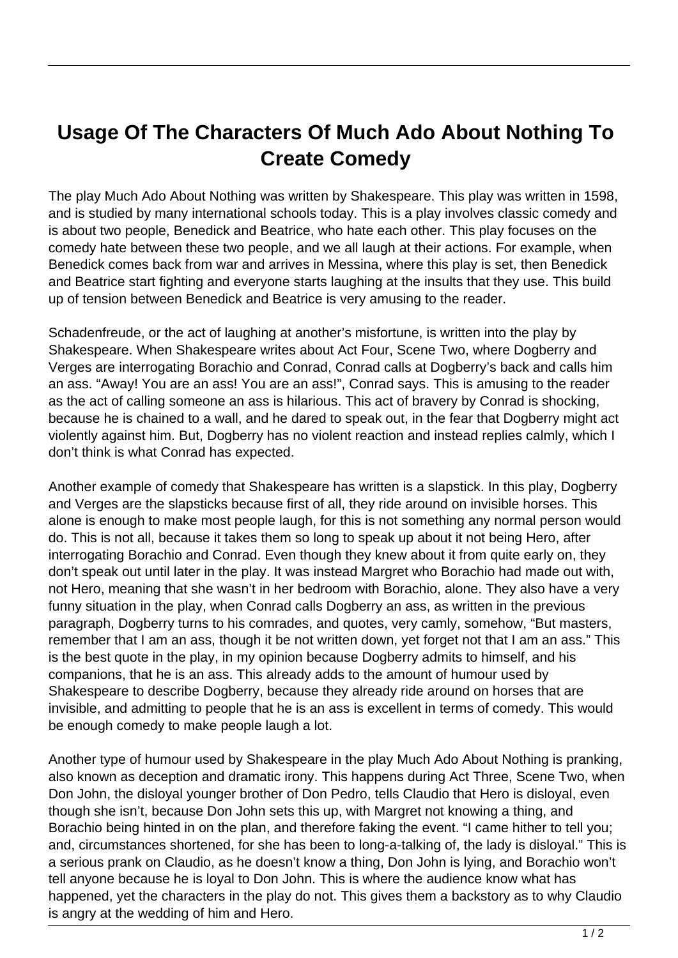## **Usage Of The Characters Of Much Ado About Nothing To Create Comedy**

The play Much Ado About Nothing was written by Shakespeare. This play was written in 1598, and is studied by many international schools today. This is a play involves classic comedy and is about two people, Benedick and Beatrice, who hate each other. This play focuses on the comedy hate between these two people, and we all laugh at their actions. For example, when Benedick comes back from war and arrives in Messina, where this play is set, then Benedick and Beatrice start fighting and everyone starts laughing at the insults that they use. This build up of tension between Benedick and Beatrice is very amusing to the reader.

Schadenfreude, or the act of laughing at another's misfortune, is written into the play by Shakespeare. When Shakespeare writes about Act Four, Scene Two, where Dogberry and Verges are interrogating Borachio and Conrad, Conrad calls at Dogberry's back and calls him an ass. "Away! You are an ass! You are an ass!", Conrad says. This is amusing to the reader as the act of calling someone an ass is hilarious. This act of bravery by Conrad is shocking, because he is chained to a wall, and he dared to speak out, in the fear that Dogberry might act violently against him. But, Dogberry has no violent reaction and instead replies calmly, which I don't think is what Conrad has expected.

Another example of comedy that Shakespeare has written is a slapstick. In this play, Dogberry and Verges are the slapsticks because first of all, they ride around on invisible horses. This alone is enough to make most people laugh, for this is not something any normal person would do. This is not all, because it takes them so long to speak up about it not being Hero, after interrogating Borachio and Conrad. Even though they knew about it from quite early on, they don't speak out until later in the play. It was instead Margret who Borachio had made out with, not Hero, meaning that she wasn't in her bedroom with Borachio, alone. They also have a very funny situation in the play, when Conrad calls Dogberry an ass, as written in the previous paragraph, Dogberry turns to his comrades, and quotes, very camly, somehow, "But masters, remember that I am an ass, though it be not written down, yet forget not that I am an ass." This is the best quote in the play, in my opinion because Dogberry admits to himself, and his companions, that he is an ass. This already adds to the amount of humour used by Shakespeare to describe Dogberry, because they already ride around on horses that are invisible, and admitting to people that he is an ass is excellent in terms of comedy. This would be enough comedy to make people laugh a lot.

Another type of humour used by Shakespeare in the play Much Ado About Nothing is pranking, also known as deception and dramatic irony. This happens during Act Three, Scene Two, when Don John, the disloyal younger brother of Don Pedro, tells Claudio that Hero is disloyal, even though she isn't, because Don John sets this up, with Margret not knowing a thing, and Borachio being hinted in on the plan, and therefore faking the event. "I came hither to tell you; and, circumstances shortened, for she has been to long-a-talking of, the lady is disloyal." This is a serious prank on Claudio, as he doesn't know a thing, Don John is lying, and Borachio won't tell anyone because he is loyal to Don John. This is where the audience know what has happened, yet the characters in the play do not. This gives them a backstory as to why Claudio is angry at the wedding of him and Hero.